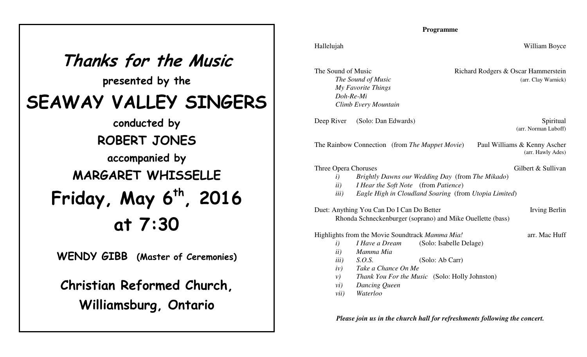| Thanks for the Music<br>presented by the      |
|-----------------------------------------------|
| SEAWAY VALLEY SINGERS                         |
| conducted by                                  |
| <b>ROBERT JONES</b>                           |
| accompanied by                                |
| <b>MARGARET WHISSELLE</b>                     |
| Friday, May 6 <sup>th</sup> , 2016<br>at 7:30 |
|                                               |
| <b>WENDY GIBB</b> (Master of Ceremonies)      |

**Christian Reformed Church,Williamsburg, Ontario**

## **Programme**

| Hallelujah |  |  |
|------------|--|--|
|            |  |  |
|            |  |  |

| The Sound of Music   | Richard Rodgers & Oscar Hammerstein |
|----------------------|-------------------------------------|
| The Sound of Music   | (arr. Clay Warnick)                 |
| My Favorite Things   |                                     |
| Doh-Re-Mi            |                                     |
| Climb Every Mountain |                                     |

Deep River (Solo: Dan Edwards) Spiritual

(arr. Norman Luboff)

William Boyce

The Rainbow Connection (from *The Muppet Movie*) Paul Williams & Kenny Ascher

## Gilbert & Sullivan

(arr. Hawly Ades)

arr. Mac Huff

| Three Opera Choruses |                                                  |  |  |
|----------------------|--------------------------------------------------|--|--|
|                      | Brightly Dawns our Wedding Day (from The Mikado) |  |  |

- *ii) I Hear the Soft Note* (from *Patience*)
- *iii) Eagle High in Cloudland Soaring* (from *Utopia Limited*)

Duet: Anything You Can Do I Can Do Better Irving Berlin Rhonda Schneckenburger (soprano) and Mike Ouellette (bass)

Highlights from the Movie Soundtrack *Mamma Mia!*

- *i) I Have a Dream*(Solo: Isabelle Delage)
- *ii) Mamma Mia*
- *iii) S.O.S.* (Solo: Ab Carr)
- *iv) Take a Chance On Me*
- *v) Thank You For the Music* (Solo: Holly Johnston)
- *vi) Dancing Queen*
- *vii) Waterloo*

*Please join us in the church hall for refreshments following the concert.*